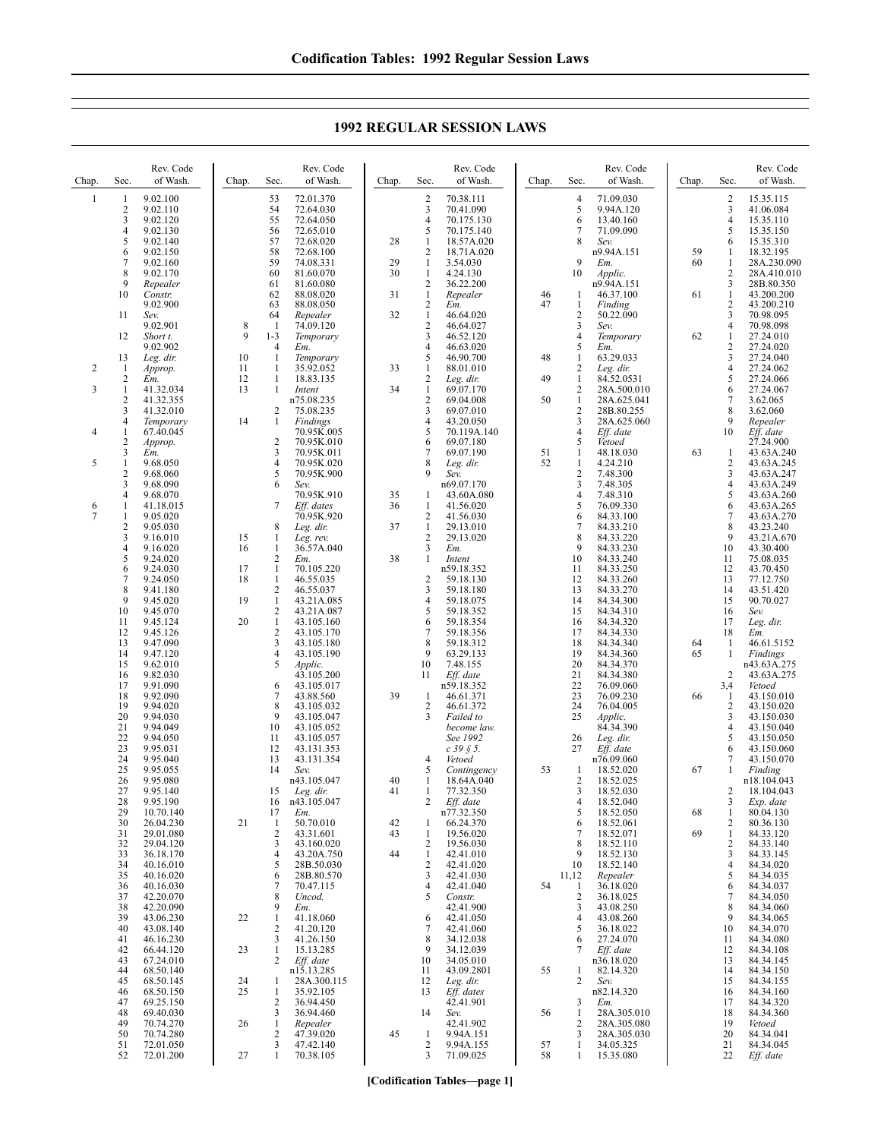**1992 REGULAR SESSION LAWS**

| Chap.          | Sec.                              | Rev. Code<br>of Wash.               | Chap.          | Sec.                                 | Rev. Code<br>of Wash.                  | Chap.    | Sec.                                                      | Rev. Code<br>of Wash.                  | Chap.    | Sec.                                           | Rev. Code<br>of Wash.                  | Chap.    | Sec.                                           | Rev. Code<br>of Wash.                  |
|----------------|-----------------------------------|-------------------------------------|----------------|--------------------------------------|----------------------------------------|----------|-----------------------------------------------------------|----------------------------------------|----------|------------------------------------------------|----------------------------------------|----------|------------------------------------------------|----------------------------------------|
| 1              | 1<br>$\overline{2}$<br>3          | 9.02.100<br>9.02.110<br>9.02.120    |                | 53<br>54<br>55                       | 72.01.370<br>72.64.030<br>72.64.050    |          | 2<br>3<br>4                                               | 70.38.111<br>70.41.090<br>70.175.130   |          | 4<br>5<br>6                                    | 71.09.030<br>9.94A.120<br>13.40.160    |          | $\overline{c}$<br>3<br>$\overline{4}$          | 15.35.115<br>41.06.084<br>15.35.110    |
|                | 4<br>5<br>6                       | 9.02.130<br>9.02.140<br>9.02.150    |                | 56<br>57<br>58                       | 72.65.010<br>72.68.020<br>72.68.100    | 28       | 5<br>$\mathbf{1}$<br>2                                    | 70.175.140<br>18.57A.020<br>18.71A.020 |          | 7<br>8                                         | 71.09.090<br>Sev.<br>n9.94A.151        | 59       | 5<br>6<br>1                                    | 15.35.150<br>15.35.310<br>18.32.195    |
|                | 7<br>8                            | 9.02.160<br>9.02.170                |                | 59<br>60                             | 74.08.331<br>81.60.070                 | 29<br>30 | $\mathbf{1}$<br>$\mathbf{1}$                              | 3.54.030<br>4.24.130                   |          | 9<br>10                                        | Em.<br>Applic.                         | 60       | 1<br>$\overline{2}$                            | 28A.230.090<br>28A.410.010             |
|                | 9<br>10                           | Repealer<br>Constr.<br>9.02.900     |                | 61<br>62<br>63                       | 81.60.080<br>88.08.020<br>88.08.050    | 31       | $\overline{\mathbf{c}}$<br>$\mathbf{1}$<br>$\overline{c}$ | 36.22.200<br>Repealer                  | 46<br>47 | -1<br>$\mathbf{1}$                             | n9.94A.151<br>46.37.100<br>Finding     | 61       | 3<br>$\mathbf{1}$<br>$\overline{2}$            | 28B.80.350<br>43.200.200<br>43.200.210 |
|                | 11                                | Sev.<br>9.02.901                    | 8              | 64<br>-1                             | Repealer<br>74.09.120                  | 32       | $\mathbf{1}$<br>2                                         | Em.<br>46.64.020<br>46.64.027          |          | $\overline{c}$<br>3                            | 50.22.090<br>Sev.                      |          | $\mathfrak{Z}$<br>$\overline{4}$               | 70.98.095<br>70.98.098                 |
|                | 12                                | Short t.<br>9.02.902                | 9              | $1 - 3$<br>4                         | Temporary<br>Em.                       |          | 3<br>4                                                    | 46.52.120<br>46.63.020                 |          | $\overline{4}$<br>5                            | Temporary<br>Em.                       | 62       | $\mathbf{1}$<br>$\overline{2}$                 | 27.24.010<br>27.24.020                 |
| $\overline{2}$ | 13<br>1<br>$\overline{c}$         | Leg. dir.<br>Approp.<br>Em.         | 10<br>11<br>12 | 1<br>1<br>1                          | Temporary<br>35.92.052<br>18.83.135    | 33       | 5<br>1<br>2                                               | 46.90.700<br>88.01.010<br>Leg. dir.    | 48<br>49 | $\mathbf{1}$<br>$\overline{2}$<br>$\mathbf{1}$ | 63.29.033<br>Leg. dir.<br>84.52.0531   |          | 3<br>$\overline{4}$<br>5                       | 27.24.040<br>27.24.062<br>27.24.066    |
| 3              | 1<br>$\overline{2}$               | 41.32.034<br>41.32.355              | 13             | 1                                    | Intent<br>n75.08.235                   | 34       | 1<br>$\overline{2}$                                       | 69.07.170<br>69.04.008                 | 50       | $\overline{2}$<br>$\mathbf{1}$                 | 28A.500.010<br>28A.625.041             |          | 6<br>$\tau$                                    | 27.24.067<br>3.62.065                  |
| 4              | 3<br>4<br>1                       | 41.32.010<br>Temporary<br>67.40.045 | 14             | 2<br>1                               | 75.08.235<br>Findings<br>70.95K.005    |          | 3<br>4<br>5                                               | 69.07.010<br>43.20.050<br>70.119A.140  |          | $\overline{2}$<br>3<br>$\overline{4}$          | 28B.80.255<br>28A.625.060<br>Eff. date |          | 8<br>9<br>10                                   | 3.62.060<br>Repealer<br>Eff. date      |
|                | 2<br>3                            | Approp.<br>Em.                      |                | $\overline{c}$<br>3                  | 70.95K.010<br>70.95K.011               |          | 6<br>7                                                    | 69.07.180<br>69.07.190                 | 51       | 5<br>1                                         | Vetoed<br>48.18.030                    | 63       | $\mathbf{1}$                                   | 27.24.900<br>43.63A.240                |
| 5              | 1<br>$\overline{\mathbf{c}}$<br>3 | 9.68.050<br>9.68.060<br>9.68.090    |                | 4<br>5<br>6                          | 70.95K.020<br>70.95K.900<br>Sev.       |          | 8<br>9                                                    | Leg. dir.<br>Sev.<br>n69.07.170        | 52       | $\mathbf{1}$<br>$\sqrt{2}$<br>3                | 4.24.210<br>7.48.300<br>7.48.305       |          | $\sqrt{2}$<br>$\mathfrak{Z}$<br>$\overline{4}$ | 43.63A.245<br>43.63A.247<br>43.63A.249 |
| 6<br>7         | 4<br>1<br>1                       | 9.68.070<br>41.18.015<br>9.05.020   |                | 7                                    | 70.95K.910<br>Eff. dates<br>70.95K.920 | 35<br>36 | 1<br>1<br>2                                               | 43.60A.080<br>41.56.020<br>41.56.030   |          | 4<br>5<br>6                                    | 7.48.310<br>76.09.330<br>84.33.100     |          | 5<br>6<br>$\overline{7}$                       | 43.63A.260<br>43.63A.265<br>43.63A.270 |
|                | $\overline{2}$<br>3               | 9.05.030<br>9.16.010                | 15             | 8<br>1                               | Leg. dir.<br>Leg. rev.                 | 37       | $\mathbf{1}$<br>2                                         | 29.13.010<br>29.13.020                 |          | 7<br>8                                         | 84.33.210<br>84.33.220                 |          | 8<br>9                                         | 43.23.240<br>43.21A.670                |
|                | 4<br>5<br>6                       | 9.16.020<br>9.24.020<br>9.24.030    | 16<br>17       | 1<br>2<br>$\mathbf{1}$               | 36.57A.040<br>Em.<br>70.105.220        | 38       | 3<br>1                                                    | Em.<br>Intent<br>n59.18.352            |          | 9<br>10<br>11                                  | 84.33.230<br>84.33.240<br>84.33.250    |          | 10<br>11<br>12                                 | 43.30.400<br>75.08.035<br>43.70.450    |
|                | 7<br>8                            | 9.24.050<br>9.41.180                | 18             | 1<br>2                               | 46.55.035<br>46.55.037                 |          | 2<br>3                                                    | 59.18.130<br>59.18.180                 |          | 12<br>13                                       | 84.33.260<br>84.33.270                 |          | 13<br>14                                       | 77.12.750<br>43.51.420                 |
|                | 9<br>10<br>11                     | 9.45.020<br>9.45.070<br>9.45.124    | 19<br>20       | $\mathbf{1}$<br>2<br>$\mathbf{1}$    | 43.21A.085<br>43.21A.087<br>43.105.160 |          | 4<br>5<br>6                                               | 59.18.075<br>59.18.352<br>59.18.354    |          | 14<br>15<br>16                                 | 84.34.300<br>84.34.310<br>84.34.320    |          | 15<br>16<br>17                                 | 90.70.027<br>Sev.<br>Leg. dir.         |
|                | 12<br>13                          | 9.45.126<br>9.47.090                |                | 2<br>3                               | 43.105.170<br>43.105.180               |          | 7<br>8                                                    | 59.18.356<br>59.18.312                 |          | 17<br>18                                       | 84.34.330<br>84.34.340                 | 64       | 18<br>$\mathbf{1}$                             | Em.<br>46.61.5152                      |
|                | 14<br>15<br>16                    | 9.47.120<br>9.62.010<br>9.82.030    |                | 4<br>5                               | 43.105.190<br>Applic.<br>43.105.200    |          | 9<br>10<br>11                                             | 63.29.133<br>7.48.155<br>Eff. date     |          | 19<br>20<br>21                                 | 84.34.360<br>84.34.370<br>84.34.380    | 65       | 1<br>$\overline{2}$                            | Findings<br>n43.63A.275<br>43.63A.275  |
|                | 17<br>18                          | 9.91.090<br>9.92.090                |                | 6<br>7                               | 43.105.017<br>43.88.560                | 39       | -1                                                        | n59.18.352<br>46.61.371                |          | 22<br>23                                       | 76.09.060<br>76.09.230                 | 66       | 3,4<br>1                                       | Vetoed<br>43.150.010                   |
|                | 19<br>20<br>21                    | 9.94.020<br>9.94.030<br>9.94.049    |                | 8<br>9<br>10                         | 43.105.032<br>43.105.047<br>43.105.052 |          | $\overline{c}$<br>3                                       | 46.61.372<br>Failed to<br>become law.  |          | 24<br>25                                       | 76.04.005<br>Applic.<br>84.34.390      |          | 2<br>3<br>$\overline{4}$                       | 43.150.020<br>43.150.030<br>43.150.040 |
|                | 22<br>23                          | 9.94.050<br>9.95.031                |                | 11<br>12                             | 43.105.057<br>43.131.353               |          |                                                           | See 1992<br>$c$ 39 $\S$ 5.             |          | 26<br>27                                       | Leg. dir.<br>Eff. date                 |          | 5<br>6                                         | 43.150.050<br>43.150.060               |
|                | 24<br>25<br>26                    | 9.95.040<br>9.95.055<br>9.95.080    |                | 13<br>14                             | 43.131.354<br>Sev.<br>n43.105.047      | 40       | 4<br>5<br>1                                               | Vetoed<br>Contingency<br>18.64A.040    | 53       | -1<br>$\overline{2}$                           | n76.09.060<br>18.52.020<br>18.52.025   | 67       | 7<br>-1                                        | 43.150.070<br>Finding<br>n18.104.043   |
|                | 27<br>28                          | 9.95.140<br>9.95.190                |                | 15<br>16                             | Leg. dir.<br>n43.105.047               | 41       | 1<br>2                                                    | 77.32.350<br>Eff. date                 |          | 3<br>4                                         | 18.52.030<br>18.52.040                 |          | 2<br>3                                         | 18.104.043<br>Exp. date                |
|                | 29<br>30<br>31                    | 10.70.140<br>26.04.230<br>29.01.080 | 21             | 17<br>$\mathbf{1}$<br>$\overline{c}$ | Em.<br>50.70.010<br>43.31.601          | 42<br>43 | 1<br>1                                                    | n77.32.350<br>66.24.370<br>19.56.020   |          | 5<br>6<br>7                                    | 18.52.050<br>18.52.061<br>18.52.071    | 68<br>69 | $\mathbf{1}$<br>$\overline{c}$<br>$\mathbf{1}$ | 80.04.130<br>80.36.130<br>84.33.120    |
|                | 32<br>33<br>34                    | 29.04.120<br>36.18.170<br>40.16.010 |                | 3<br>$\overline{4}$<br>5             | 43.160.020<br>43.20A.750               | 44       | 2<br>1<br>2                                               | 19.56.030<br>42.41.010<br>42.41.020    |          | 8<br>9<br>10                                   | 18.52.110<br>18.52.130<br>18.52.140    |          | $\overline{2}$<br>3<br>$\overline{4}$          | 84.33.140<br>84.33.145<br>84.34.020    |
|                | 35<br>36                          | 40.16.020<br>40.16.030              |                | 6<br>7                               | 28B.50.030<br>28B.80.570<br>70.47.115  |          | 3<br>4                                                    | 42.41.030<br>42.41.040                 | 54       | 11,12<br>1                                     | Repealer<br>36.18.020                  |          | 5<br>6                                         | 84.34.035<br>84.34.037                 |
|                | 37<br>38<br>39                    | 42.20.070<br>42.20.090<br>43.06.230 | 22             | 8<br>9<br>$\mathbf{1}$               | Uncod.<br>Em.<br>41.18.060             |          | 5<br>6                                                    | Constr.<br>42.41.900<br>42.41.050      |          | $\overline{2}$<br>3<br>$\overline{4}$          | 36.18.025<br>43.08.250<br>43.08.260    |          | $\tau$<br>8<br>9                               | 84.34.050<br>84.34.060<br>84.34.065    |
|                | 40<br>41                          | 43.08.140<br>46.16.230              |                | 2<br>3                               | 41.20.120<br>41.26.150                 |          | 7<br>8                                                    | 42.41.060<br>34.12.038                 |          | 5<br>6                                         | 36.18.022<br>27.24.070                 |          | 10<br>11                                       | 84.34.070<br>84.34.080                 |
|                | 42<br>43<br>44                    | 66.44.120<br>67.24.010<br>68.50.140 | 23             | $\mathbf{1}$<br>2                    | 15.13.285<br>Eff. date<br>n15.13.285   |          | 9<br>10<br>11                                             | 34.12.039<br>34.05.010<br>43.09.2801   | 55       | 7<br>1                                         | Eff. date<br>n36.18.020<br>82.14.320   |          | 12<br>13<br>14                                 | 84.34.108<br>84.34.145<br>84.34.150    |
|                | 45<br>46<br>47                    | 68.50.145<br>68.50.150<br>69.25.150 | 24<br>25       | 1<br>$\mathbf{1}$<br>2               | 28A.300.115<br>35.92.105<br>36.94.450  |          | 12<br>13                                                  | Leg. dir.<br>Eff. dates<br>42.41.901   |          | 2<br>3                                         | Sev.<br>n82.14.320<br>Em.              |          | 15<br>16<br>17                                 | 84.34.155<br>84.34.160<br>84.34.320    |
|                | 48<br>49                          | 69.40.030<br>70.74.270              | 26             | 3<br>1                               | 36.94.460<br>Repealer                  |          | 14                                                        | Sev.<br>42.41.902                      | 56       | 1<br>$\overline{2}$                            | 28A.305.010<br>28A.305.080             |          | 18<br>19                                       | 84.34.360<br>Vetoed                    |
|                | 50<br>51<br>52                    | 70.74.280<br>72.01.050<br>72.01.200 | 27             | 2<br>3<br>$\mathbf{1}$               | 47.39.020<br>47.42.140<br>70.38.105    | 45       | $\mathbf{1}$<br>2<br>3                                    | 9.94A.151<br>9.94A.155<br>71.09.025    | 57<br>58 | 3<br>1<br>1                                    | 28A.305.030<br>34.05.325<br>15.35.080  |          | 20<br>21<br>22                                 | 84.34.041<br>84.34.045<br>Eff. date    |

**[Codification Tables—page 1]**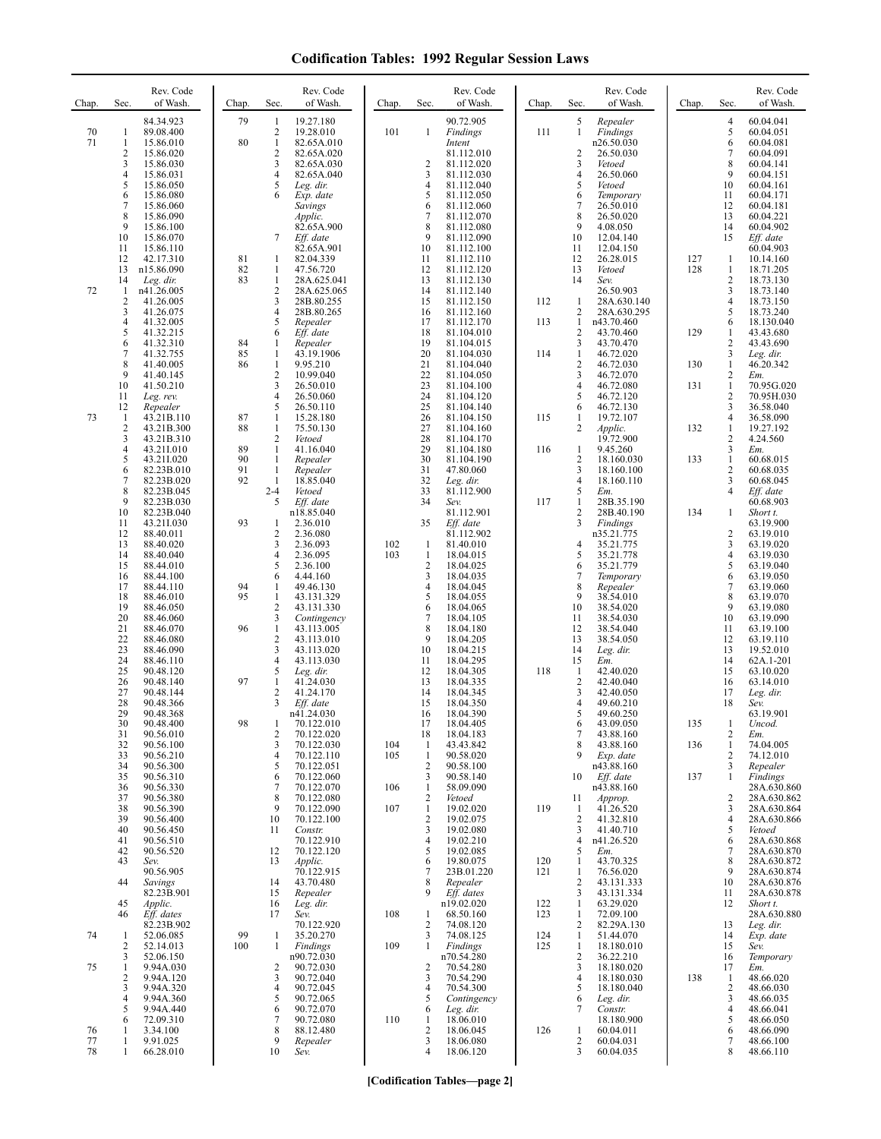| Chap.    | Sec.                                    | Rev. Code<br>of Wash.       | Chap.    | Sec.                             | Rev. Code<br>of Wash.      | Chap.      | Sec.                           | Rev. Code<br>of Wash.    | Chap. | Sec.                           | Rev. Code<br>of Wash.     | Chap.      | Sec.                | Rev. Code<br>of Wash.      |
|----------|-----------------------------------------|-----------------------------|----------|----------------------------------|----------------------------|------------|--------------------------------|--------------------------|-------|--------------------------------|---------------------------|------------|---------------------|----------------------------|
| 70       | 1                                       | 84.34.923<br>89.08.400      | 79       | -1<br>2                          | 19.27.180<br>19.28.010     | 101        | $\mathbf{1}$                   | 90.72.905<br>Findings    | 111   | 5<br>1                         | Repealer<br>Findings      |            | 4<br>5              | 60.04.041<br>60.04.051     |
| 71       | $\mathbf{1}$<br>$\overline{\mathbf{c}}$ | 15.86.010<br>15.86.020      | 80       | $\mathbf{1}$<br>$\sqrt{2}$       | 82.65A.010<br>82.65A.020   |            |                                | Intent<br>81.112.010     |       | 2                              | n26.50.030<br>26.50.030   |            | 6<br>7              | 60.04.081<br>60.04.091     |
|          | 3<br>$\overline{4}$                     | 15.86.030<br>15.86.031      |          | 3<br>$\overline{4}$              | 82.65A.030<br>82.65A.040   |            | $\overline{2}$<br>3            | 81.112.020<br>81.112.030 |       | 3<br>4                         | Vetoed<br>26.50.060       |            | 8<br>9              | 60.04.141<br>60.04.151     |
|          | 5                                       | 15.86.050                   |          | 5<br>6                           | Leg. dir.                  |            | $\overline{4}$<br>5            | 81.112.040               |       | 5                              | Vetoed                    |            | 10                  | 60.04.161                  |
|          | 6<br>7                                  | 15.86.080<br>15.86.060      |          |                                  | Exp. date<br>Savings       |            | 6                              | 81.112.050<br>81.112.060 |       | 6<br>7                         | Temporary<br>26.50.010    |            | 11<br>12            | 60.04.171<br>60.04.181     |
|          | 8<br>9                                  | 15.86.090<br>15.86.100      |          |                                  | Applic.<br>82.65A.900      |            | $\tau$<br>8                    | 81.112.070<br>81.112.080 |       | 8<br>9                         | 26.50.020<br>4.08.050     |            | 13<br>14            | 60.04.221<br>60.04.902     |
|          | 10<br>11                                | 15.86.070<br>15.86.110      |          | 7                                | Eff. date<br>82.65A.901    |            | 9<br>10                        | 81.112.090<br>81.112.100 |       | 10<br>11                       | 12.04.140<br>12.04.150    |            | 15                  | Eff. date<br>60.04.903     |
|          | 12<br>13                                | 42.17.310<br>n15.86.090     | 81<br>82 | $\mathbf{1}$<br>$\mathbf{1}$     | 82.04.339<br>47.56.720     |            | 11<br>12                       | 81.112.110<br>81.112.120 |       | 12<br>13                       | 26.28.015<br>Vetoed       | 127<br>128 | 1<br>$\mathbf{1}$   | 10.14.160<br>18.71.205     |
| 72       | 14<br>$\mathbf{1}$                      | Leg. dir.<br>n41.26.005     | 83       | $\mathbf{1}$<br>$\sqrt{2}$       | 28A.625.041<br>28A.625.065 |            | 13<br>14                       | 81.112.130<br>81.112.140 |       | 14                             | Sev.<br>26.50.903         |            | 2<br>3              | 18.73.130<br>18.73.140     |
|          | $\overline{\mathbf{c}}$                 | 41.26.005                   |          | 3                                | 28B.80.255                 |            | 15                             | 81.112.150               | 112   | -1                             | 28A.630.140               |            | 4                   | 18.73.150                  |
|          | 3<br>$\overline{4}$                     | 41.26.075<br>41.32.005      |          | $\overline{4}$<br>5              | 28B.80.265<br>Repealer     |            | 16<br>17                       | 81.112.160<br>81.112.170 | 113   | $\overline{2}$<br>-1           | 28A.630.295<br>n43.70.460 |            | 5<br>6              | 18.73.240<br>18.130.040    |
|          | 5<br>6                                  | 41.32.215<br>41.32.310      | 84       | 6<br>1                           | Eff. date<br>Repealer      |            | 18<br>19                       | 81.104.010<br>81.104.015 |       | $\overline{2}$<br>3            | 43.70.460<br>43.70.470    | 129        | 1<br>2              | 43.43.680<br>43.43.690     |
|          | 7<br>8                                  | 41.32.755<br>41.40.005      | 85<br>86 | $\mathbf{1}$<br>$\mathbf{1}$     | 43.19.1906<br>9.95.210     |            | 20<br>21                       | 81.104.030<br>81.104.040 | 114   | $\mathbf{1}$<br>2              | 46.72.020<br>46.72.030    | 130        | 3<br>$\mathbf{1}$   | Leg. dir.<br>46.20.342     |
|          | 9<br>10                                 | 41.40.145<br>41.50.210      |          | $\overline{c}$<br>$\mathfrak{Z}$ | 10.99.040<br>26.50.010     |            | 22<br>23                       | 81.104.050<br>81.104.100 |       | 3<br>$\overline{4}$            | 46.72.070                 | 131        | 2<br>$\mathbf{1}$   | Em.<br>70.95G.020          |
|          | 11                                      | Leg. rev.                   |          | $\overline{4}$                   | 26.50.060                  |            | 24                             | 81.104.120               |       | 5                              | 46.72.080<br>46.72.120    |            | $\overline{c}$      | 70.95H.030                 |
| 73       | 12<br>$\mathbf{1}$                      | Repealer<br>43.21B.110      | 87       | 5<br>$\mathbf{1}$                | 26.50.110<br>15.28.180     |            | 25<br>26                       | 81.104.140<br>81.104.150 | 115   | 6<br>1                         | 46.72.130<br>19.72.107    |            | 3<br>4              | 36.58.040<br>36.58.090     |
|          | $\sqrt{2}$<br>3                         | 43.21B.300<br>43.21B.310    | 88       | $\mathbf{1}$<br>$\overline{2}$   | 75.50.130<br>Vetoed        |            | 27<br>28                       | 81.104.160<br>81.104.170 |       | $\overline{2}$                 | Applic.<br>19.72.900      | 132        | 1<br>$\overline{c}$ | 19.27.192<br>4.24.560      |
|          | $\overline{4}$<br>5                     | 43.21I.010<br>43.211.020    | 89<br>90 | $\mathbf{1}$<br>$\mathbf{1}$     | 41.16.040<br>Repealer      |            | 29<br>30                       | 81.104.180<br>81.104.190 | 116   | $\mathbf{1}$<br>$\overline{2}$ | 9.45.260<br>18.160.030    | 133        | 3<br>$\mathbf{1}$   | Em.<br>60.68.015           |
|          | 6<br>7                                  | 82.23B.010<br>82.23B.020    | 91<br>92 | -1<br>$\mathbf{1}$               | Repealer<br>18.85.040      |            | 31<br>32                       | 47.80.060<br>Leg. dir.   |       | 3<br>4                         | 18.160.100<br>18.160.110  |            | 2<br>3              | 60.68.035<br>60.68.045     |
|          | 8<br>9                                  | 82.23B.045                  |          | $2 - 4$<br>5                     | Vetoed                     |            | 33                             | 81.112.900               |       | 5                              | Em.                       |            | $\overline{4}$      | Eff. date                  |
|          | 10                                      | 82.23B.030<br>82.23B.040    |          |                                  | Eff. date<br>n18.85.040    |            | 34                             | Sev.<br>81.112.901       | 117   | 1<br>2                         | 28B.35.190<br>28B.40.190  | 134        | $\mathbf{1}$        | 60.68.903<br>Short t.      |
|          | 11<br>12                                | 43.21I.030<br>88.40.011     | 93       | $\mathbf{1}$<br>$\overline{2}$   | 2.36.010<br>2.36.080       |            | 35                             | Eff. date<br>81.112.902  |       | 3                              | Findings<br>n35.21.775    |            | $\overline{2}$      | 63.19.900<br>63.19.010     |
|          | 13<br>14                                | 88.40.020<br>88.40.040      |          | 3<br>$\overline{4}$              | 2.36.093<br>2.36.095       | 102<br>103 | 1<br>$\mathbf{1}$              | 81.40.010<br>18.04.015   |       | 4<br>5                         | 35.21.775<br>35.21.778    |            | 3<br>4              | 63.19.020<br>63.19.030     |
|          | 15<br>16                                | 88.44.010<br>88.44.100      |          | 5<br>6                           | 2.36.100<br>4.44.160       |            | $\overline{2}$<br>3            | 18.04.025<br>18.04.035   |       | 6<br>7                         | 35.21.779<br>Temporary    |            | 5<br>6              | 63.19.040<br>63.19.050     |
|          | 17                                      | 88.44.110                   | 94       | 1                                | 49.46.130                  |            | $\overline{4}$                 | 18.04.045                |       | 8                              | Repealer                  |            | 7                   | 63.19.060                  |
|          | 18<br>19                                | 88.46.010<br>88.46.050      | 95       | $\mathbf{1}$<br>$\sqrt{2}$       | 43.131.329<br>43.131.330   |            | 5<br>6                         | 18.04.055<br>18.04.065   |       | 9<br>10                        | 38.54.010<br>38.54.020    |            | 8<br>9              | 63.19.070<br>63.19.080     |
|          | 20<br>21                                | 88.46.060<br>88.46.070      | 96       | 3<br>$\mathbf{1}$                | Contingency<br>43.113.005  |            | $\overline{7}$<br>8            | 18.04.105<br>18.04.180   |       | 11<br>12                       | 38.54.030<br>38.54.040    |            | 10<br>11            | 63.19.090<br>63.19.100     |
|          | 22<br>23                                | 88.46.080<br>88.46.090      |          | $\overline{2}$<br>3              | 43.113.010<br>43.113.020   |            | 9<br>10                        | 18.04.205<br>18.04.215   |       | 13<br>14                       | 38.54.050<br>Leg. dir.    |            | 12<br>13            | 63.19.110<br>19.52.010     |
|          | 24<br>25                                | 88.46.110<br>90.48.120      |          | $\overline{4}$<br>5              | 43.113.030<br>Leg. dir.    |            | 11<br>12                       | 18.04.295<br>18.04.305   | 118   | 15<br>-1                       | Em.<br>42.40.020          |            | 14<br>15            | 62A.1-201<br>63.10.020     |
|          | 26<br>27                                | 90.48.140<br>90.48.144      | 97       | $\mathbf{1}$<br>$\overline{c}$   | 41.24.030<br>41.24.170     |            | 13<br>14                       | 18.04.335<br>18.04.345   |       | $\overline{c}$<br>3            | 42.40.040<br>42.40.050    |            | 16<br>17            | 63.14.010<br>Leg. dir.     |
|          | 28                                      | 90.48.366                   |          | 3                                | Eff. date                  |            | 15                             | 18.04.350                |       | 4                              | 49.60.210                 |            | 18                  | Sev.                       |
|          | 29<br>30                                | 90.48.368<br>90.48.400      | 98       | -1                               | n41.24.030<br>70.122.010   |            | 16<br>17                       | 18.04.390<br>18.04.405   |       | 5<br>6                         | 49.60.250<br>43.09.050    | 135        | 1                   | 63.19.901<br>Uncod.        |
|          | 31<br>32                                | 90.56.010<br>90.56.100      |          | $\overline{c}$<br>3              | 70.122.020<br>70.122.030   | 104        | 18<br>$\mathbf{1}$             | 18.04.183<br>43.43.842   |       | 7<br>8                         | 43.88.160<br>43.88.160    | 136        | 2<br>$\mathbf{1}$   | Em.<br>74.04.005           |
|          | 33<br>34                                | 90.56.210<br>90.56.300      |          | 4<br>5                           | 70.122.110<br>70.122.051   | 105        | $\mathbf{1}$<br>$\overline{2}$ | 90.58.020<br>90.58.100   |       | 9                              | Exp. date<br>n43.88.160   |            | $\overline{c}$<br>3 | 74.12.010<br>Repealer      |
|          | 35<br>36                                | 90.56.310<br>90.56.330      |          | 6<br>7                           | 70.122.060<br>70.122.070   | 106        | 3<br>$\mathbf{1}$              | 90.58.140<br>58.09.090   |       | 10                             | Eff. date<br>n43.88.160   | 137        | 1                   | Findings<br>28A.630.860    |
|          | 37<br>38                                | 90.56.380<br>90.56.390      |          | 8<br>9                           | 70.122.080<br>70.122.090   | 107        | $\overline{c}$<br>$\mathbf{1}$ | Vetoed<br>19.02.020      | 119   | 11                             | Approp.<br>41.26.520      |            | 2<br>3              | 28A.630.862<br>28A.630.864 |
|          | 39                                      | 90.56.400                   |          | 10                               | 70.122.100                 |            | $\sqrt{2}$                     | 19.02.075                |       | -1<br>2                        | 41.32.810                 |            | 4                   | 28A.630.866                |
|          | 40<br>41                                | 90.56.450<br>90.56.510      |          | 11                               | Constr.<br>70.122.910      |            | 3<br>$\overline{4}$            | 19.02.080<br>19.02.210   |       | 3<br>4                         | 41.40.710<br>n41.26.520   |            | 5<br>6              | Vetoed<br>28A.630.868      |
|          | 42<br>43                                | 90.56.520<br>Sev.           |          | 12<br>13                         | 70.122.120<br>Applic.      |            | 5<br>6                         | 19.02.085<br>19.80.075   | 120   | 5<br>1                         | Em.<br>43.70.325          |            | 7<br>8              | 28A.630.870<br>28A.630.872 |
|          | 44                                      | 90.56.905<br><b>Savings</b> |          | 14                               | 70.122.915<br>43.70.480    |            | 7<br>8                         | 23B.01.220<br>Repealer   | 121   | 1<br>2                         | 76.56.020<br>43.131.333   |            | 9<br>10             | 28A.630.874<br>28A.630.876 |
|          | 45                                      | 82.23B.901<br>Applic.       |          | 15<br>16                         | Repealer<br>Leg. dir.      |            | 9                              | Eff. dates<br>n19.02.020 | 122   | 3<br>1                         | 43.131.334<br>63.29.020   |            | 11<br>12            | 28A.630.878<br>Short t.    |
|          | 46                                      | Eff. dates                  |          | 17                               | Sev.                       | 108        | 1                              | 68.50.160                | 123   | 1                              | 72.09.100                 |            |                     | 28A.630.880                |
| 74       | 1                                       | 82.23B.902<br>52.06.085     | 99       | $\mathbf{1}$                     | 70.122.920<br>35.20.270    |            | $\sqrt{2}$<br>3                | 74.08.120<br>74.08.125   | 124   | 2<br>-1                        | 82.29A.130<br>51.44.070   |            | 13<br>14            | Leg. dir.<br>Exp. date     |
|          | 2<br>3                                  | 52.14.013<br>52.06.150      | 100      | 1                                | Findings<br>n90.72.030     | 109        | 1                              | Findings<br>n70.54.280   | 125   | 1<br>$\overline{2}$            | 18.180.010<br>36.22.210   |            | 15<br>16            | Sev.<br>Temporary          |
| 75       | 1<br>$\overline{2}$                     | 9.94A.030<br>9.94A.120      |          | $\overline{c}$<br>3              | 90.72.030<br>90.72.040     |            | 2<br>3                         | 70.54.280<br>70.54.290   |       | 3<br>$\overline{4}$            | 18.180.020<br>18.180.030  | 138        | 17<br>-1            | Em.<br>48.66.020           |
|          | 3<br>4                                  | 9.94A.320<br>9.94A.360      |          | 4<br>5                           | 90.72.045<br>90.72.065     |            | $\overline{4}$<br>5            | 70.54.300<br>Contingency |       | 5<br>6                         | 18.180.040<br>Leg. dir.   |            | 2<br>3              | 48.66.030<br>48.66.035     |
|          | 5<br>6                                  | 9.94A.440<br>72.09.310      |          | 6<br>7                           | 90.72.070<br>90.72.080     | 110        | 6<br>1                         | Leg. dir.<br>18.06.010   |       | 7                              | Constr.<br>18.180.900     |            | 4<br>5              | 48.66.041<br>48.66.050     |
| 76       | -1                                      | 3.34.100                    |          | 8                                | 88.12.480                  |            | $\overline{c}$                 | 18.06.045                | 126   | $\mathbf{1}$                   | 60.04.011                 |            | 6                   | 48.66.090                  |
| 77<br>78 | 1<br>1                                  | 9.91.025<br>66.28.010       |          | 9<br>10                          | Repealer<br>Sev.           |            | 3<br>$\overline{4}$            | 18.06.080<br>18.06.120   |       | 2<br>3                         | 60.04.031<br>60.04.035    |            | 7<br>8              | 48.66.100<br>48.66.110     |

**[Codification Tables—page 2]**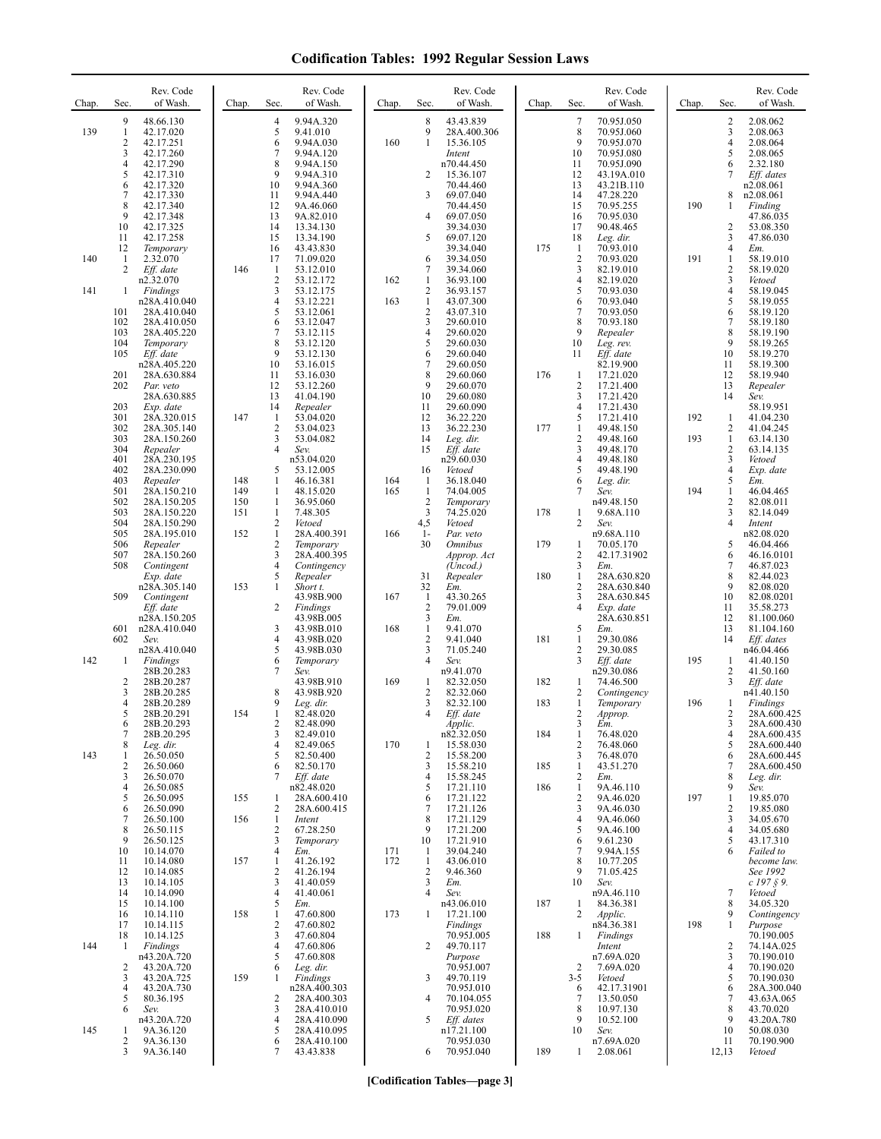## **Codification Tables: 1992 Regular Session Laws**

| Chap. | Sec.                | Rev. Code<br>of Wash.       | Chap.      | Sec.                | Rev. Code<br>of Wash.       | Chap.      | Sec.                           | Rev. Code<br>of Wash.              | Chap. | Sec.                           | Rev. Code<br>of Wash.      | Chap. | Sec.                | Rev. Code<br>of Wash.      |
|-------|---------------------|-----------------------------|------------|---------------------|-----------------------------|------------|--------------------------------|------------------------------------|-------|--------------------------------|----------------------------|-------|---------------------|----------------------------|
| 139   | 9<br>$\mathbf{1}$   | 48.66.130<br>42.17.020      |            | 4<br>5              | 9.94A.320<br>9.41.010       |            | 8<br>9                         | 43.43.839<br>28A.400.306           |       | $\tau$<br>8                    | 70.95J.050<br>70.95J.060   |       | $\overline{c}$<br>3 | 2.08.062<br>2.08.063       |
|       | $\overline{c}$      | 42.17.251                   |            | 6                   | 9.94A.030                   | 160        | 1                              | 15.36.105                          |       | 9                              | 70.95J.070                 |       | $\overline{4}$      | 2.08.064                   |
|       | 3<br>4              | 42.17.260<br>42.17.290      |            | 7<br>8              | 9.94A.120<br>9.94A.150      |            |                                | Intent<br>n70.44.450               |       | 10<br>11                       | 70.95J.080<br>70.95J.090   |       | 5<br>6              | 2.08.065<br>2.32.180       |
|       | 5<br>6              | 42.17.310<br>42.17.320      |            | 9<br>10             | 9.94A.310<br>9.94A.360      |            | 2                              | 15.36.107<br>70.44.460             |       | 12<br>13                       | 43.19A.010<br>43.21B.110   |       | 7                   | Eff. dates<br>n2.08.061    |
|       | 7                   | 42.17.330                   |            | 11                  | 9.94A.440                   |            | 3                              | 69.07.040                          |       | 14                             | 47.28.220                  |       | 8                   | n2.08.061                  |
|       | 8<br>9              | 42.17.340<br>42.17.348      |            | 12<br>13            | 9A.46.060<br>9A.82.010      |            | 4                              | 70.44.450<br>69.07.050             |       | 15<br>16                       | 70.95.255<br>70.95.030     | 190   | 1                   | Finding<br>47.86.035       |
|       | 10<br>11            | 42.17.325<br>42.17.258      |            | 14<br>15            | 13.34.130<br>13.34.190      |            | 5                              | 39.34.030<br>69.07.120             |       | 17<br>18                       | 90.48.465<br>Leg. dir.     |       | 2<br>3              | 53.08.350<br>47.86.030     |
|       | 12                  | Temporary                   |            | 16                  | 43.43.830                   |            |                                | 39.34.040                          | 175   | -1                             | 70.93.010                  |       | $\overline{4}$      | Em.                        |
| 140   | -1<br>2             | 2.32.070<br>Eff. date       | 146        | 17<br>1             | 71.09.020<br>53.12.010      |            | 6<br>7                         | 39.34.050<br>39.34.060             |       | $\overline{2}$<br>3            | 70.93.020<br>82.19.010     | 191   | 1<br>2              | 58.19.010<br>58.19.020     |
| 141   | 1                   | n2.32.070<br>Findings       |            | 2<br>3              | 53.12.172<br>53.12.175      | 162        | $\mathbf{1}$<br>$\overline{c}$ | 36.93.100<br>36.93.157             |       | $\overline{4}$<br>5            | 82.19.020<br>70.93.030     |       | 3<br>4              | Vetoed<br>58.19.045        |
|       | 101                 | n28A.410.040<br>28A.410.040 |            | $\overline{4}$<br>5 | 53.12.221<br>53.12.061      | 163        | $\mathbf{1}$<br>$\sqrt{2}$     | 43.07.300<br>43.07.310             |       | 6<br>$\tau$                    | 70.93.040<br>70.93.050     |       | 5<br>6              | 58.19.055<br>58.19.120     |
|       | 102                 | 28A.410.050                 |            | 6                   | 53.12.047                   |            | $\mathfrak{Z}$                 | 29.60.010                          |       | 8                              | 70.93.180                  |       | 7                   | 58.19.180                  |
|       | 103<br>104          | 28A.405.220<br>Temporary    |            | 7<br>8              | 53.12.115<br>53.12.120      |            | $\overline{4}$<br>5            | 29.60.020<br>29.60.030             |       | 9<br>10                        | Repealer<br>Leg. rev.      |       | 8<br>9              | 58.19.190<br>58.19.265     |
|       | 105                 | Eff. date<br>n28A.405.220   |            | 9<br>10             | 53.12.130<br>53.16.015      |            | 6<br>7                         | 29.60.040<br>29.60.050             |       | 11                             | Eff. date<br>82.19.900     |       | 10<br>11            | 58.19.270<br>58.19.300     |
|       | 201                 | 28A.630.884                 |            | 11                  | 53.16.030                   |            | 8                              | 29.60.060                          | 176   | -1                             | 17.21.020                  |       | 12                  | 58.19.940                  |
|       | 202                 | Par. veto<br>28A.630.885    |            | 12<br>13            | 53.12.260<br>41.04.190      |            | 9<br>10                        | 29.60.070<br>29.60.080             |       | $\overline{c}$<br>3            | 17.21.400<br>17.21.420     |       | 13<br>14            | Repealer<br>Sev.           |
|       | 203<br>301          | Exp. date<br>28A.320.015    | 147        | 14<br>1             | Repealer<br>53.04.020       |            | 11<br>12                       | 29.60.090<br>36.22.220             |       | 4<br>5                         | 17.21.430<br>17.21.410     | 192   | 1                   | 58.19.951<br>41.04.230     |
|       | 302<br>303          | 28A.305.140<br>28A.150.260  |            | 2<br>3              | 53.04.023<br>53.04.082      |            | 13<br>14                       | 36.22.230<br>Leg. dir.             | 177   | 1<br>$\overline{c}$            | 49.48.150<br>49.48.160     | 193   | 2<br>$\mathbf{1}$   | 41.04.245<br>63.14.130     |
|       | 304                 | Repealer                    |            | $\overline{4}$      | Sev.                        |            | 15                             | Eff. date                          |       | 3                              | 49.48.170                  |       | $\overline{c}$      | 63.14.135                  |
|       | 401<br>402          | 28A.230.195<br>28A.230.090  |            | 5                   | n53.04.020<br>53.12.005     |            | 16                             | n29.60.030<br>Vetoed               |       | 4<br>5                         | 49.48.180<br>49.48.190     |       | 3<br>$\overline{4}$ | Vetoed<br>Exp. date        |
|       | 403<br>501          | Repealer<br>28A.150.210     | 148<br>149 | 1<br>$\mathbf{1}$   | 46.16.381<br>48.15.020      | 164<br>165 | $\mathbf{1}$<br>$\mathbf{1}$   | 36.18.040<br>74.04.005             |       | 6<br>7                         | Leg. dir.<br>Sev.          | 194   | 5<br>1              | Em.<br>46.04.465           |
|       | 502                 | 28A.150.205                 | 150        | 1                   | 36.95.060                   |            | $\overline{c}$                 | Temporary                          |       |                                | n49.48.150                 |       | 2                   | 82.08.011                  |
|       | 503<br>504          | 28A.150.220<br>28A.150.290  | 151        | $\mathbf{1}$<br>2   | 7.48.305<br>Vetoed          |            | $\overline{3}$<br>4,5          | 74.25.020<br>Vetoed                | 178   | 1<br>2                         | 9.68A.110<br>Sev.          |       | 3<br>4              | 82.14.049<br>Intent        |
|       | 505<br>506          | 28A.195.010<br>Repealer     | 152        | $\mathbf{1}$<br>2   | 28A.400.391<br>Temporary    | 166        | $1-$<br>30                     | Par. veto<br><i><b>Omnibus</b></i> | 179   | 1                              | n9.68A.110<br>70.05.170    |       | 5                   | n82.08.020<br>46.04.466    |
|       | 507<br>508          | 28A.150.260                 |            | 3<br>$\overline{4}$ | 28A.400.395<br>Contingency  |            |                                | Approp. Act<br>(Uncod.)            |       | $\overline{2}$<br>3            | 42.17.31902<br>Em.         |       | 6<br>7              | 46.16.0101<br>46.87.023    |
|       |                     | Contingent<br>Exp. date     |            | 5                   | Repealer                    |            | 31                             | Repealer                           | 180   | 1                              | 28A.630.820                |       | 8                   | 82.44.023                  |
|       | 509                 | n28A.305.140<br>Contingent  | 153        | $\mathbf{1}$        | Short t.<br>43.98B.900      | 167        | 32<br>$\mathbf{1}$             | Em.<br>43.30.265                   |       | $\overline{c}$<br>3            | 28A.630.840<br>28A.630.845 |       | 9<br>10             | 82.08.020<br>82.08.0201    |
|       |                     | Eff. date<br>n28A.150.205   |            | 2                   | Findings<br>43.98B.005      |            | $\sqrt{2}$<br>3                | 79.01.009<br>Em.                   |       | $\overline{4}$                 | Exp. date<br>28A.630.851   |       | 11<br>12            | 35.58.273<br>81.100.060    |
|       | 601                 | n28A.410.040                |            | 3                   | 43.98B.010                  | 168        | $\mathbf{1}$<br>$\overline{c}$ | 9.41.070                           |       | 5                              | Em.                        |       | 13                  | 81.104.160                 |
|       | 602                 | Sev.<br>n28A.410.040        |            | 4<br>5              | 43.98B.020<br>43.98B.030    |            | 3                              | 9.41.040<br>71.05.240              | 181   | 1<br>$\overline{2}$            | 29.30.086<br>29.30.085     |       | 14                  | Eff. dates<br>n46.04.466   |
| 142   | 1                   | Findings<br>28B.20.283      |            | 6<br>7              | Temporary<br>Sev.           |            | 4                              | Sev.<br>n9.41.070                  |       | 3                              | Eff. date<br>n29.30.086    | 195   | -1<br>2             | 41.40.150<br>41.50.160     |
|       | $\overline{c}$<br>3 | 28B.20.287<br>28B.20.285    |            | 8                   | 43.98B.910<br>43.98B.920    | 169        | 1<br>$\overline{c}$            | 82.32.050<br>82.32.060             | 182   | 1<br>$\overline{c}$            | 74.46.500<br>Contingency   |       | 3                   | Eff. date<br>n41.40.150    |
|       | $\overline{4}$      | 28B.20.289                  |            | 9                   | Leg. dir.                   |            | 3                              | 82.32.100                          | 183   | $\mathbf{1}$                   | Temporary                  | 196   |                     | Findings                   |
|       | 5<br>6              | 28B.20.291<br>28B.20.293    | 154        | $\mathbf{1}$<br>2   | 82.48.020<br>82.48.090      |            | 4                              | Eff. date<br>Applic.               |       | 2<br>3                         | Approp.<br>Em.             |       | 2<br>3              | 28A.600.425<br>28A.600.430 |
|       | 7<br>8              | 28B.20.295<br>Leg. dir.     |            | 3<br>4              | 82.49.010<br>82.49.065      | 170        | -1                             | n82.32.050<br>15.58.030            | 184   | $\mathbf{1}$<br>$\overline{c}$ | 76.48.020<br>76.48.060     |       | 4<br>5              | 28A.600.435<br>28A.600.440 |
| 143   | 1<br>$\overline{c}$ | 26.50.050<br>26.50.060      |            | 5<br>6              | 82.50.400<br>82.50.170      |            | $\overline{2}$<br>3            | 15.58.200<br>15.58.210             | 185   | 3<br>1                         | 76.48.070<br>43.51.270     |       | 6<br>7              | 28A.600.445<br>28A.600.450 |
|       | 3                   | 26.50.070                   |            | 7                   | Eff. date                   |            | $\overline{4}$                 | 15.58.245                          |       | 2                              | Em.                        |       | 8                   | Leg. dir.                  |
|       | 4<br>5              | 26.50.085<br>26.50.095      | 155        | 1                   | n82.48.020<br>28A.600.410   |            | 5<br>6                         | 17.21.110<br>17.21.122             | 186   | 1<br>$\overline{c}$            | 9A.46.110<br>9A.46.020     | 197   | 9<br>$\mathbf{1}$   | Sev.<br>19.85.070          |
|       | 6<br>7              | 26.50.090<br>26.50.100      | 156        | 2<br>$\mathbf{1}$   | 28A.600.415<br>Intent       |            | $\overline{7}$<br>8            | 17.21.126<br>17.21.129             |       | 3<br>4                         | 9A.46.030<br>9A.46.060     |       | 2<br>3              | 19.85.080<br>34.05.670     |
|       | 8<br>9              | 26.50.115<br>26.50.125      |            | 2<br>3              | 67.28.250<br>Temporary      |            | 9<br>10                        | 17.21.200<br>17.21.910             |       | 5<br>6                         | 9A.46.100<br>9.61.230      |       | 4<br>5              | 34.05.680<br>43.17.310     |
|       | 10                  | 10.14.070                   |            | 4                   | Em.                         | 171        | 1                              | 39.04.240                          |       | 7                              | 9.94A.155                  |       | 6                   | Failed to                  |
|       | 11<br>12            | 10.14.080<br>10.14.085      | 157        | 1<br>2              | 41.26.192<br>41.26.194      | 172        | $\mathbf{1}$<br>$\sqrt{2}$     | 43.06.010<br>9.46.360              |       | 8<br>9                         | 10.77.205<br>71.05.425     |       |                     | become law.<br>See 1992    |
|       | 13<br>14            | 10.14.105<br>10.14.090      |            | 3<br>4              | 41.40.059<br>41.40.061      |            | 3<br>$\overline{4}$            | Em.<br>Sev.                        |       | 10                             | Sev.<br>n9A.46.110         |       | 7                   | $c$ 197 $\S$ 9.<br>Vetoed  |
|       | 15                  | 10.14.100                   | 158        | 5                   | Em.<br>47.60.800            |            |                                | n43.06.010                         | 187   | 1<br>2                         | 84.36.381                  |       | 8<br>9              | 34.05.320                  |
|       | 16<br>17            | 10.14.110<br>10.14.115      |            | 1<br>2              | 47.60.802                   | 173        | -1                             | 17.21.100<br>Findings              |       |                                | Applic.<br>n84.36.381      | 198   | 1                   | Contingency<br>Purpose     |
| 144   | 18<br>-1            | 10.14.125<br>Findings       |            | 3<br>4              | 47.60.804<br>47.60.806      |            | 2                              | 70.95J.005<br>49.70.117            | 188   | $\mathbf{1}$                   | Findings<br>Intent         |       | 2                   | 70.190.005<br>74.14A.025   |
|       | 2                   | n43.20A.720<br>43.20A.720   |            | 5<br>6              | 47.60.808<br>Leg. dir.      |            |                                | Purpose<br>70.95J.007              |       | 2                              | n7.69A.020<br>7.69A.020    |       | 3<br>$\overline{4}$ | 70.190.010<br>70.190.020   |
|       | 3                   | 43.20A.725                  | 159        | 1                   | Findings                    |            | 3                              | 49.70.119                          |       | $3 - 5$                        | Vetoed                     |       | 5                   | 70.190.030                 |
|       | 4<br>5              | 43.20A.730<br>80.36.195     |            | 2                   | n28A.400.303<br>28A.400.303 |            | $\overline{4}$                 | 70.95J.010<br>70.104.055           |       | 6<br>7                         | 42.17.31901<br>13.50.050   |       | 6<br>7              | 28A.300.040<br>43.63A.065  |
|       | 6                   | Sev.<br>n43.20A.720         |            | 3<br>4              | 28A.410.010<br>28A.410.090  |            | 5                              | 70.95J.020<br>Eff. dates           |       | 8<br>9                         | 10.97.130<br>10.52.100     |       | 8<br>9              | 43.70.020<br>43.20A.780    |
| 145   | 1<br>2              | 9A.36.120<br>9A.36.130      |            | 5<br>6              | 28A.410.095<br>28A.410.100  |            |                                | n17.21.100<br>70.95J.030           |       | 10                             | Sev.<br>n7.69A.020         |       | 10<br>11            | 50.08.030<br>70.190.900    |
|       | 3                   | 9A.36.140                   |            | 7                   | 43.43.838                   |            | 6                              | 70.95J.040                         | 189   | 1                              | 2.08.061                   |       | 12,13               | Vetoed                     |

**[Codification Tables—page 3]**